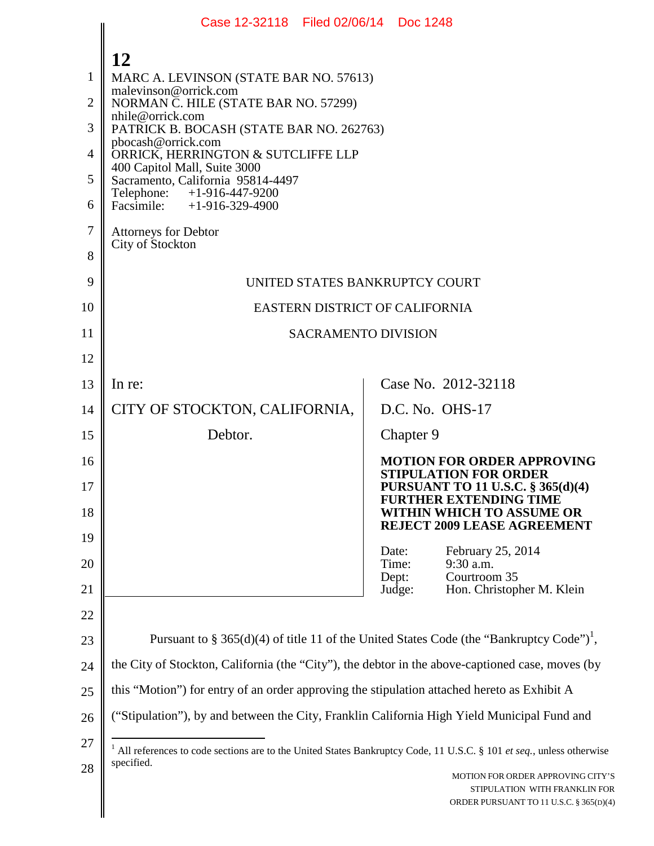| NORMAN C. HILE (STATE BAR NO. 57299)                                                             |                                                                                                                                   |                                                                                    |                                                                                                                                                                                                                                                                                                                                                                                                                                                                                                   |
|--------------------------------------------------------------------------------------------------|-----------------------------------------------------------------------------------------------------------------------------------|------------------------------------------------------------------------------------|---------------------------------------------------------------------------------------------------------------------------------------------------------------------------------------------------------------------------------------------------------------------------------------------------------------------------------------------------------------------------------------------------------------------------------------------------------------------------------------------------|
|                                                                                                  |                                                                                                                                   |                                                                                    |                                                                                                                                                                                                                                                                                                                                                                                                                                                                                                   |
| pbocash@orrick.com<br>4<br>ORRICK, HERRINGTON & SUTCLIFFE LLP                                    |                                                                                                                                   |                                                                                    |                                                                                                                                                                                                                                                                                                                                                                                                                                                                                                   |
| Sacramento, California 95814-4497                                                                |                                                                                                                                   |                                                                                    |                                                                                                                                                                                                                                                                                                                                                                                                                                                                                                   |
| Facsimile: $+1-916-329-4900$                                                                     |                                                                                                                                   |                                                                                    |                                                                                                                                                                                                                                                                                                                                                                                                                                                                                                   |
| <b>Attorneys for Debtor</b>                                                                      |                                                                                                                                   |                                                                                    |                                                                                                                                                                                                                                                                                                                                                                                                                                                                                                   |
|                                                                                                  |                                                                                                                                   |                                                                                    |                                                                                                                                                                                                                                                                                                                                                                                                                                                                                                   |
|                                                                                                  |                                                                                                                                   |                                                                                    |                                                                                                                                                                                                                                                                                                                                                                                                                                                                                                   |
|                                                                                                  |                                                                                                                                   |                                                                                    |                                                                                                                                                                                                                                                                                                                                                                                                                                                                                                   |
|                                                                                                  |                                                                                                                                   |                                                                                    |                                                                                                                                                                                                                                                                                                                                                                                                                                                                                                   |
|                                                                                                  |                                                                                                                                   |                                                                                    |                                                                                                                                                                                                                                                                                                                                                                                                                                                                                                   |
| In re:                                                                                           |                                                                                                                                   |                                                                                    | Case No. 2012-32118                                                                                                                                                                                                                                                                                                                                                                                                                                                                               |
| CITY OF STOCKTON, CALIFORNIA,                                                                    |                                                                                                                                   |                                                                                    |                                                                                                                                                                                                                                                                                                                                                                                                                                                                                                   |
| Debtor.                                                                                          |                                                                                                                                   |                                                                                    |                                                                                                                                                                                                                                                                                                                                                                                                                                                                                                   |
|                                                                                                  |                                                                                                                                   |                                                                                    | <b>MOTION FOR ORDER APPROVING</b><br><b>STIPULATION FOR ORDER</b>                                                                                                                                                                                                                                                                                                                                                                                                                                 |
|                                                                                                  |                                                                                                                                   |                                                                                    | <b>PURSUANT TO 11 U.S.C. § 365(d)(4)</b><br><b>FURTHER EXTENDING TIME</b>                                                                                                                                                                                                                                                                                                                                                                                                                         |
|                                                                                                  |                                                                                                                                   |                                                                                    | WITHIN WHICH TO ASSUME OR<br>REJECT 2009 LEASE AGREEMENT                                                                                                                                                                                                                                                                                                                                                                                                                                          |
|                                                                                                  |                                                                                                                                   |                                                                                    | February 25, 2014                                                                                                                                                                                                                                                                                                                                                                                                                                                                                 |
|                                                                                                  |                                                                                                                                   |                                                                                    | 9:30 a.m.<br>Courtroom 35                                                                                                                                                                                                                                                                                                                                                                                                                                                                         |
|                                                                                                  |                                                                                                                                   |                                                                                    | Hon. Christopher M. Klein                                                                                                                                                                                                                                                                                                                                                                                                                                                                         |
|                                                                                                  |                                                                                                                                   |                                                                                    |                                                                                                                                                                                                                                                                                                                                                                                                                                                                                                   |
|                                                                                                  |                                                                                                                                   |                                                                                    |                                                                                                                                                                                                                                                                                                                                                                                                                                                                                                   |
| the City of Stockton, California (the "City"), the debtor in the above-captioned case, moves (by |                                                                                                                                   |                                                                                    |                                                                                                                                                                                                                                                                                                                                                                                                                                                                                                   |
| this "Motion") for entry of an order approving the stipulation attached hereto as Exhibit A      |                                                                                                                                   |                                                                                    |                                                                                                                                                                                                                                                                                                                                                                                                                                                                                                   |
|                                                                                                  |                                                                                                                                   |                                                                                    |                                                                                                                                                                                                                                                                                                                                                                                                                                                                                                   |
|                                                                                                  |                                                                                                                                   |                                                                                    |                                                                                                                                                                                                                                                                                                                                                                                                                                                                                                   |
| specified.                                                                                       |                                                                                                                                   |                                                                                    | MOTION FOR ORDER APPROVING CITY'S<br>STIPULATION WITH FRANKLIN FOR<br>ORDER PURSUANT TO 11 U.S.C. § 365(D)(4)                                                                                                                                                                                                                                                                                                                                                                                     |
|                                                                                                  | 12<br>malevinson@orrick.com<br>nhile@orrick.com<br>400 Capitol Mall, Suite 3000<br>Telephone: +1-916-447-9200<br>City of Stockton | MARC A. LEVINSON (STATE BAR NO. 57613)<br>PATRICK B. BOCASH (STATE BAR NO. 262763) | UNITED STATES BANKRUPTCY COURT<br>EASTERN DISTRICT OF CALIFORNIA<br><b>SACRAMENTO DIVISION</b><br>D.C. No. OHS-17<br>Chapter 9<br>Date:<br>Time:<br>Dept:<br>Judge:<br>Pursuant to § 365(d)(4) of title 11 of the United States Code (the "Bankruptcy Code") <sup>1</sup> ,<br>("Stipulation"), by and between the City, Franklin California High Yield Municipal Fund and<br>All references to code sections are to the United States Bankruptcy Code, 11 U.S.C. § 101 et seq., unless otherwise |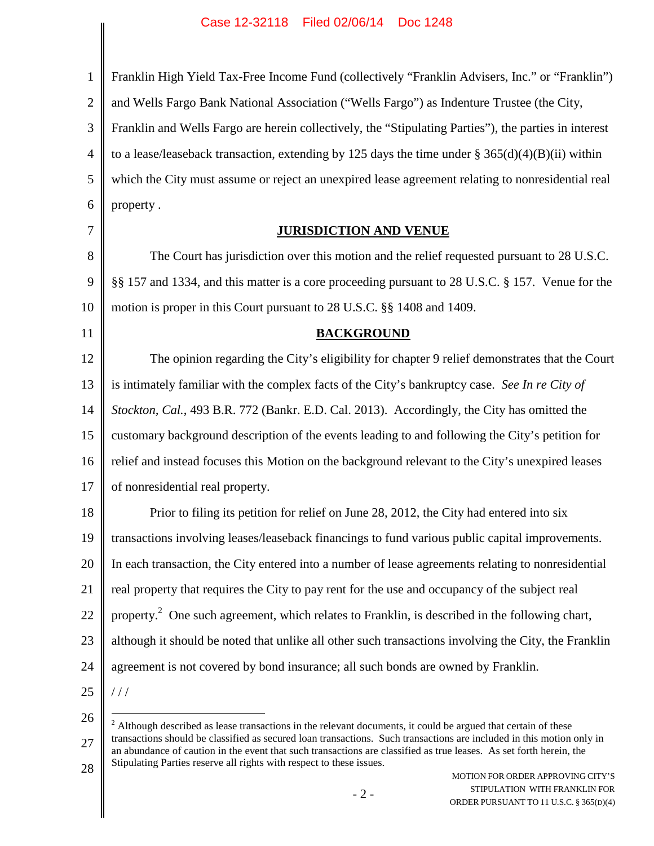| $\mathbf{1}$   | Franklin High Yield Tax-Free Income Fund (collectively "Franklin Advisers, Inc." or "Franklin")            |
|----------------|------------------------------------------------------------------------------------------------------------|
| $\overline{2}$ | and Wells Fargo Bank National Association ("Wells Fargo") as Indenture Trustee (the City,                  |
| 3              | Franklin and Wells Fargo are herein collectively, the "Stipulating Parties"), the parties in interest      |
| $\overline{4}$ | to a lease/leaseback transaction, extending by 125 days the time under $\S 365(d)(4)(B)(ii)$ within        |
| 5              | which the City must assume or reject an unexpired lease agreement relating to nonresidential real          |
| 6              | property.                                                                                                  |
| 7              | <b>JURISDICTION AND VENUE</b>                                                                              |
| 8              | The Court has jurisdiction over this motion and the relief requested pursuant to 28 U.S.C.                 |
| 9              | §§ 157 and 1334, and this matter is a core proceeding pursuant to 28 U.S.C. § 157. Venue for the           |
| 10             | motion is proper in this Court pursuant to 28 U.S.C. §§ 1408 and 1409.                                     |
| 11             | <b>BACKGROUND</b>                                                                                          |
| 12             | The opinion regarding the City's eligibility for chapter 9 relief demonstrates that the Court              |
| 13             | is intimately familiar with the complex facts of the City's bankruptcy case. See In re City of             |
| 14             | Stockton, Cal., 493 B.R. 772 (Bankr. E.D. Cal. 2013). Accordingly, the City has omitted the                |
| 15             | customary background description of the events leading to and following the City's petition for            |
| 16             | relief and instead focuses this Motion on the background relevant to the City's unexpired leases           |
| 17             | of nonresidential real property.                                                                           |
| 18             | Prior to filing its petition for relief on June 28, 2012, the City had entered into six                    |
| 19             | transactions involving leases/leaseback financings to fund various public capital improvements.            |
| 20             | In each transaction, the City entered into a number of lease agreements relating to nonresidential         |
| 21             | real property that requires the City to pay rent for the use and occupancy of the subject real             |
| 22             | property. <sup>2</sup> One such agreement, which relates to Franklin, is described in the following chart, |
| 23             | although it should be noted that unlike all other such transactions involving the City, the Franklin       |
| 24             | agreement is not covered by bond insurance; all such bonds are owned by Franklin.                          |
| 25             | //                                                                                                         |
| 26             |                                                                                                            |

27 28 <sup>2</sup> Although described as lease transactions in the relevant documents, it could be argued that certain of these transactions should be classified as secured loan transactions. Such transactions are included in this motion only in an abundance of caution in the event that such transactions are classified as true leases. As set forth herein, the Stipulating Parties reserve all rights with respect to these issues.

MOTION FOR ORDER APPROVING CITY'S STIPULATION WITH FRANKLIN FOR ORDER PURSUANT TO 11 U.S.C. § 365(D)(4)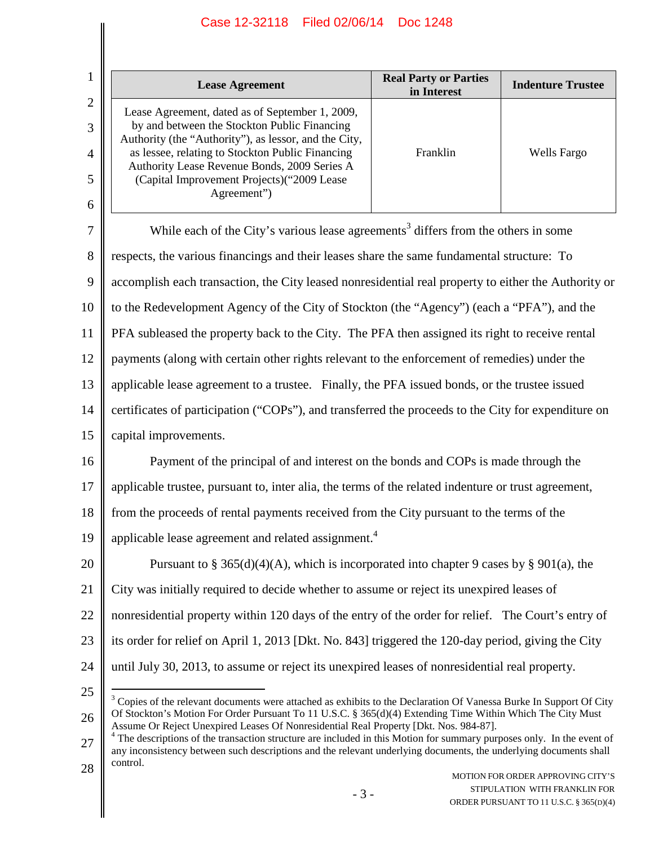|                                    | <b>Lease Agreement</b>                                                                                                                                                                                                                                                                                                     | <b>Real Party or Parties</b><br>in Interest | <b>Indenture Trustee</b> |
|------------------------------------|----------------------------------------------------------------------------------------------------------------------------------------------------------------------------------------------------------------------------------------------------------------------------------------------------------------------------|---------------------------------------------|--------------------------|
| $\overline{2}$<br>3<br>4<br>5<br>6 | Lease Agreement, dated as of September 1, 2009,<br>by and between the Stockton Public Financing<br>Authority (the "Authority"), as lessor, and the City,<br>as lessee, relating to Stockton Public Financing<br>Authority Lease Revenue Bonds, 2009 Series A<br>(Capital Improvement Projects) ("2009 Lease<br>Agreement") | Franklin                                    | Wells Fargo              |

7 8 9 10 11 12 13 14 15 16 17 18 19 20 21 22 23 24 While each of the City's various lease agreements<sup>3</sup> differs from the others in some respects, the various financings and their leases share the same fundamental structure: To accomplish each transaction, the City leased nonresidential real property to either the Authority or to the Redevelopment Agency of the City of Stockton (the "Agency") (each a "PFA"), and the PFA subleased the property back to the City. The PFA then assigned its right to receive rental payments (along with certain other rights relevant to the enforcement of remedies) under the applicable lease agreement to a trustee. Finally, the PFA issued bonds, or the trustee issued certificates of participation ("COPs"), and transferred the proceeds to the City for expenditure on capital improvements. Payment of the principal of and interest on the bonds and COPs is made through the applicable trustee, pursuant to, inter alia, the terms of the related indenture or trust agreement, from the proceeds of rental payments received from the City pursuant to the terms of the applicable lease agreement and related assignment.<sup>4</sup> Pursuant to § 365(d)(4)(A), which is incorporated into chapter 9 cases by § 901(a), the City was initially required to decide whether to assume or reject its unexpired leases of nonresidential property within 120 days of the entry of the order for relief. The Court's entry of its order for relief on April 1, 2013 [Dkt. No. 843] triggered the 120-day period, giving the City until July 30, 2013, to assume or reject its unexpired leases of nonresidential real property.

<sup>26</sup>  $3$  Copies of the relevant documents were attached as exhibits to the Declaration Of Vanessa Burke In Support Of City Of Stockton's Motion For Order Pursuant To 11 U.S.C. § 365(d)(4) Extending Time Within Which The City Must Assume Or Reject Unexpired Leases Of Nonresidential Real Property [Dkt. Nos. 984-87].

<sup>27</sup> 28 <sup>4</sup> The descriptions of the transaction structure are included in this Motion for summary purposes only. In the event of any inconsistency between such descriptions and the relevant underlying documents, the underlying documents shall control.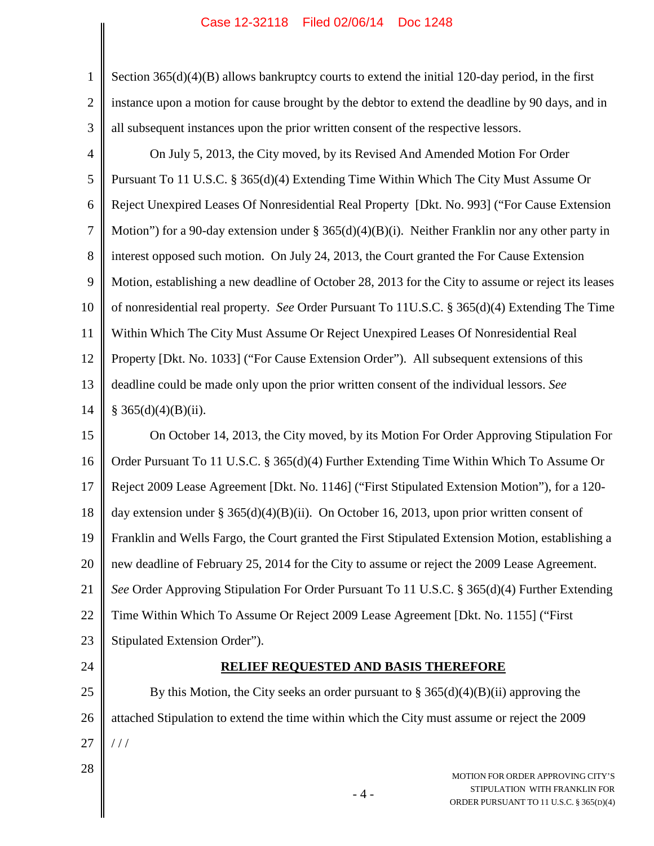| $\mathbf{1}$   | Section $365(d)(4)(B)$ allows bankruptcy courts to extend the initial 120-day period, in the first                     |
|----------------|------------------------------------------------------------------------------------------------------------------------|
| $\overline{2}$ | instance upon a motion for cause brought by the debtor to extend the deadline by 90 days, and in                       |
| 3              | all subsequent instances upon the prior written consent of the respective lessors.                                     |
| $\overline{4}$ | On July 5, 2013, the City moved, by its Revised And Amended Motion For Order                                           |
| 5              | Pursuant To 11 U.S.C. § 365(d)(4) Extending Time Within Which The City Must Assume Or                                  |
| 6              | Reject Unexpired Leases Of Nonresidential Real Property [Dkt. No. 993] ("For Cause Extension                           |
| $\tau$         | Motion") for a 90-day extension under § 365(d)(4)(B)(i). Neither Franklin nor any other party in                       |
| 8              | interest opposed such motion. On July 24, 2013, the Court granted the For Cause Extension                              |
| 9              | Motion, establishing a new deadline of October 28, 2013 for the City to assume or reject its leases                    |
| 10             | of nonresidential real property. See Order Pursuant To 11U.S.C. § 365(d)(4) Extending The Time                         |
| 11             | Within Which The City Must Assume Or Reject Unexpired Leases Of Nonresidential Real                                    |
| 12             | Property [Dkt. No. 1033] ("For Cause Extension Order"). All subsequent extensions of this                              |
| 13             | deadline could be made only upon the prior written consent of the individual lessors. See                              |
| 14             | § $365(d)(4)(B)(ii)$ .                                                                                                 |
| 15             | On October 14, 2013, the City moved, by its Motion For Order Approving Stipulation For                                 |
| 16             | Order Pursuant To 11 U.S.C. § 365(d)(4) Further Extending Time Within Which To Assume Or                               |
| 17             | Reject 2009 Lease Agreement [Dkt. No. 1146] ("First Stipulated Extension Motion"), for a 120-                          |
| 18             | day extension under § 365(d)(4)(B)(ii). On October 16, 2013, upon prior written consent of                             |
| 19             | Franklin and Wells Fargo, the Court granted the First Stipulated Extension Motion, establishing a                      |
| 20             | new deadline of February 25, 2014 for the City to assume or reject the 2009 Lease Agreement.                           |
| 21             | See Order Approving Stipulation For Order Pursuant To 11 U.S.C. § 365(d)(4) Further Extending                          |
| 22             | Time Within Which To Assume Or Reject 2009 Lease Agreement [Dkt. No. 1155] ("First                                     |
| 23             | Stipulated Extension Order").                                                                                          |
| 24             | <b>RELIEF REQUESTED AND BASIS THEREFORE</b>                                                                            |
| 25             | By this Motion, the City seeks an order pursuant to $\S 365(d)(4)(B)(ii)$ approving the                                |
| 26             | attached Stipulation to extend the time within which the City must assume or reject the 2009                           |
| 27             | //                                                                                                                     |
| 28             | MOTION FOR ORDER APPROVING CITY'S<br>STIPULATION WITH FRANKLIN FOR<br>$-4-$<br>ORDER PURSUANT TO 11 U.S.C. § 365(D)(4) |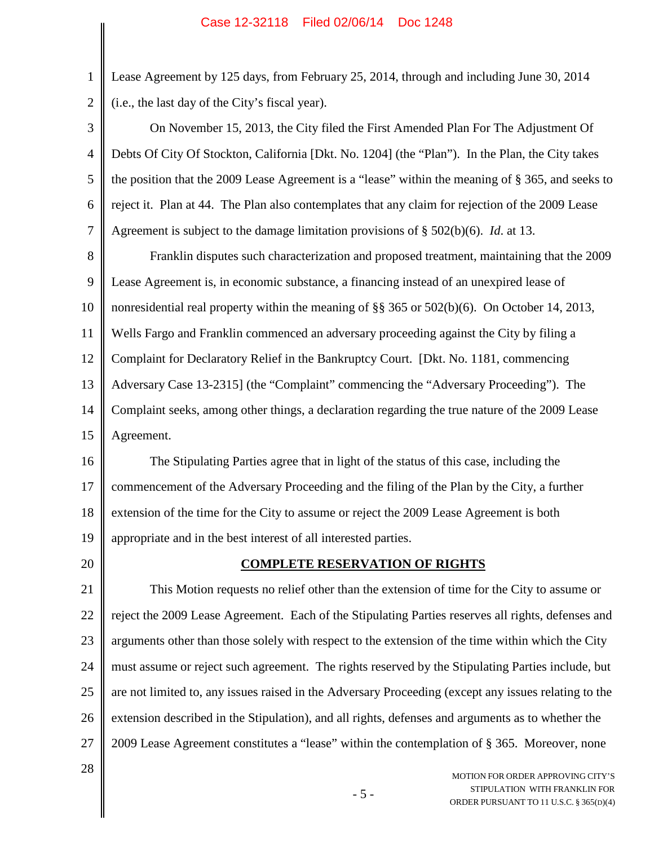Lease Agreement by 125 days, from February 25, 2014, through and including June 30, 2014 (i.e., the last day of the City's fiscal year).

3 4 5 6 7 On November 15, 2013, the City filed the First Amended Plan For The Adjustment Of Debts Of City Of Stockton, California [Dkt. No. 1204] (the "Plan"). In the Plan, the City takes the position that the 2009 Lease Agreement is a "lease" within the meaning of § 365, and seeks to reject it. Plan at 44. The Plan also contemplates that any claim for rejection of the 2009 Lease Agreement is subject to the damage limitation provisions of § 502(b)(6). *Id*. at 13.

8 9 10 11 12 13 14 15 Franklin disputes such characterization and proposed treatment, maintaining that the 2009 Lease Agreement is, in economic substance, a financing instead of an unexpired lease of nonresidential real property within the meaning of §§ 365 or 502(b)(6). On October 14, 2013, Wells Fargo and Franklin commenced an adversary proceeding against the City by filing a Complaint for Declaratory Relief in the Bankruptcy Court. [Dkt. No. 1181, commencing Adversary Case 13-2315] (the "Complaint" commencing the "Adversary Proceeding"). The Complaint seeks, among other things, a declaration regarding the true nature of the 2009 Lease Agreement.

16 17 18 19 The Stipulating Parties agree that in light of the status of this case, including the commencement of the Adversary Proceeding and the filing of the Plan by the City, a further extension of the time for the City to assume or reject the 2009 Lease Agreement is both appropriate and in the best interest of all interested parties.

20

1

2

### **COMPLETE RESERVATION OF RIGHTS**

21 22 23 24 25 26 27 This Motion requests no relief other than the extension of time for the City to assume or reject the 2009 Lease Agreement. Each of the Stipulating Parties reserves all rights, defenses and arguments other than those solely with respect to the extension of the time within which the City must assume or reject such agreement. The rights reserved by the Stipulating Parties include, but are not limited to, any issues raised in the Adversary Proceeding (except any issues relating to the extension described in the Stipulation), and all rights, defenses and arguments as to whether the 2009 Lease Agreement constitutes a "lease" within the contemplation of § 365. Moreover, none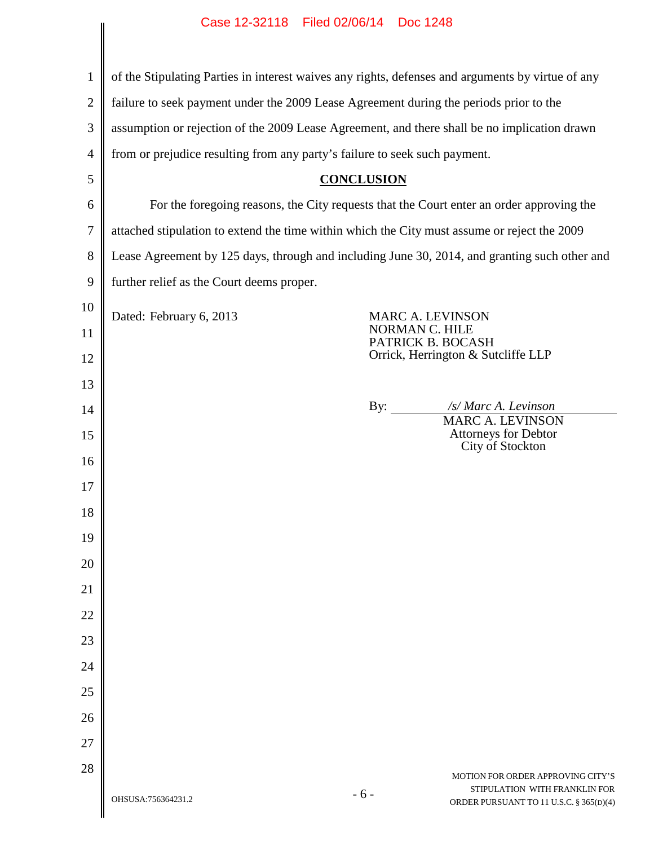| $\mathbf{1}$   | of the Stipulating Parties in interest waives any rights, defenses and arguments by virtue of any |                                                                                              |  |
|----------------|---------------------------------------------------------------------------------------------------|----------------------------------------------------------------------------------------------|--|
| $\overline{2}$ | failure to seek payment under the 2009 Lease Agreement during the periods prior to the            |                                                                                              |  |
| 3              |                                                                                                   | assumption or rejection of the 2009 Lease Agreement, and there shall be no implication drawn |  |
| 4              | from or prejudice resulting from any party's failure to seek such payment.                        |                                                                                              |  |
| 5              | <b>CONCLUSION</b>                                                                                 |                                                                                              |  |
| 6              | For the foregoing reasons, the City requests that the Court enter an order approving the          |                                                                                              |  |
| 7              | attached stipulation to extend the time within which the City must assume or reject the 2009      |                                                                                              |  |
| 8              | Lease Agreement by 125 days, through and including June 30, 2014, and granting such other and     |                                                                                              |  |
| 9              | further relief as the Court deems proper.                                                         |                                                                                              |  |
| 10             | Dated: February 6, 2013                                                                           | <b>MARC A. LEVINSON</b>                                                                      |  |
| 11             |                                                                                                   | <b>NORMAN C. HILE</b><br>PATRICK B. BOCASH                                                   |  |
| 12             |                                                                                                   | Orrick, Herrington & Sutcliffe LLP                                                           |  |
| 13             |                                                                                                   |                                                                                              |  |
| 14             |                                                                                                   | /s/ Marc A. Levinson<br>By: $\qquad \qquad$<br><b>MARC A. LEVINSON</b>                       |  |
| 15             |                                                                                                   | Attorneys for Debtor<br>City of Stockton                                                     |  |
| 16             |                                                                                                   |                                                                                              |  |
| 17             |                                                                                                   |                                                                                              |  |
| 18             |                                                                                                   |                                                                                              |  |
| 19             |                                                                                                   |                                                                                              |  |
| 20             |                                                                                                   |                                                                                              |  |
| 21             |                                                                                                   |                                                                                              |  |
| 22             |                                                                                                   |                                                                                              |  |
| 23             |                                                                                                   |                                                                                              |  |
| 24             |                                                                                                   |                                                                                              |  |
| 25             |                                                                                                   |                                                                                              |  |
| 26             |                                                                                                   |                                                                                              |  |
| 27             |                                                                                                   |                                                                                              |  |
| 28             |                                                                                                   | MOTION FOR ORDER APPROVING CITY'S                                                            |  |
|                | $-6-$<br>OHSUSA:756364231.2                                                                       | STIPULATION WITH FRANKLIN FOR<br>ORDER PURSUANT TO 11 U.S.C. § 365(D)(4)                     |  |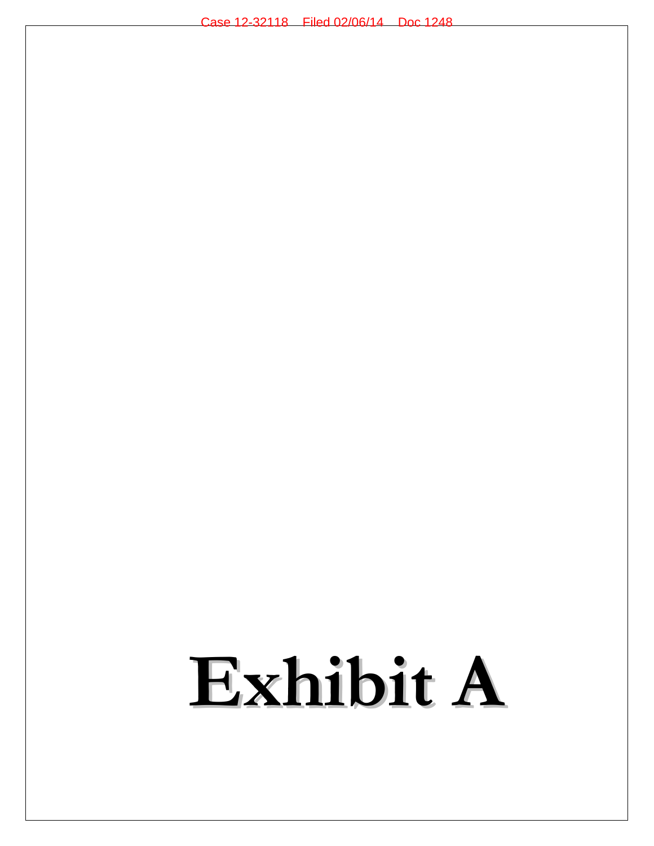# **Exhibit A**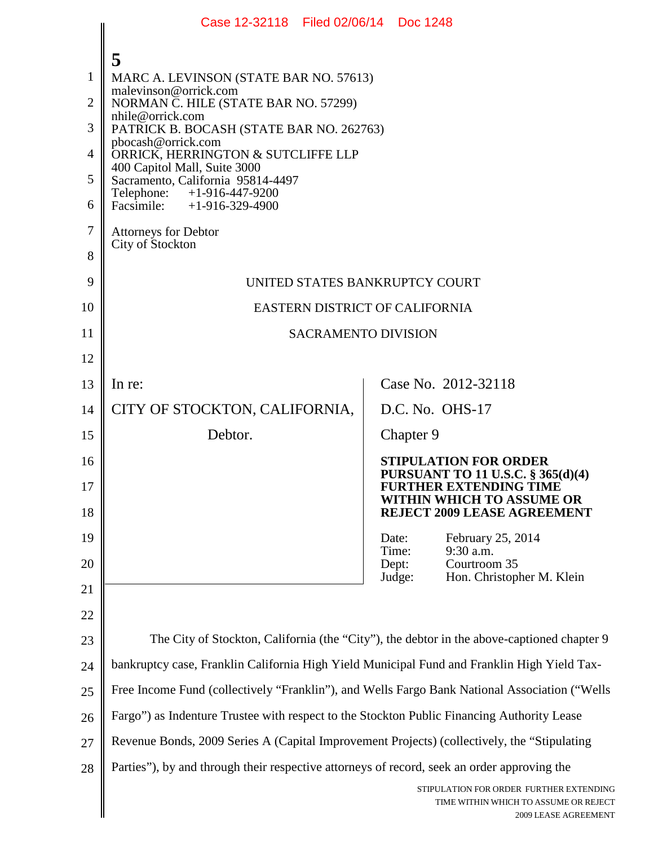|                                         | Case 12-32118 Filed 02/06/14 Doc 1248                                                                                                                                                                                                                                                                                                                                        |                                                                                                                                 |
|-----------------------------------------|------------------------------------------------------------------------------------------------------------------------------------------------------------------------------------------------------------------------------------------------------------------------------------------------------------------------------------------------------------------------------|---------------------------------------------------------------------------------------------------------------------------------|
| 1<br>2<br>3<br>$\overline{4}$<br>5<br>6 | 5<br>MARC A. LEVINSON (STATE BAR NO. 57613)<br>malevinson@orrick.com<br>NORMAN C. HILE (STATE BAR NO. 57299)<br>nhile@orrick.com<br>PATRICK B. BOCASH (STATE BAR NO. 262763)<br>pbocash@orrick.com<br>ORRICK, HERRINGTON & SUTCLIFFE LLP<br>400 Capitol Mall, Suite 3000<br>Sacramento, California 95814-4497<br>Telephone:<br>+1-916-447-9200<br>Facsimile: +1-916-329-4900 |                                                                                                                                 |
| $\overline{7}$<br>8                     | <b>Attorneys for Debtor</b><br>City of Stockton                                                                                                                                                                                                                                                                                                                              |                                                                                                                                 |
| 9                                       | UNITED STATES BANKRUPTCY COURT                                                                                                                                                                                                                                                                                                                                               |                                                                                                                                 |
| 10                                      | <b>EASTERN DISTRICT OF CALIFORNIA</b>                                                                                                                                                                                                                                                                                                                                        |                                                                                                                                 |
| 11                                      | <b>SACRAMENTO DIVISION</b>                                                                                                                                                                                                                                                                                                                                                   |                                                                                                                                 |
| 12                                      |                                                                                                                                                                                                                                                                                                                                                                              |                                                                                                                                 |
| 13                                      | In re:                                                                                                                                                                                                                                                                                                                                                                       | Case No. 2012-32118                                                                                                             |
| 14                                      | CITY OF STOCKTON, CALIFORNIA,                                                                                                                                                                                                                                                                                                                                                | D.C. No. OHS-17                                                                                                                 |
| 15                                      | Debtor.                                                                                                                                                                                                                                                                                                                                                                      | Chapter 9                                                                                                                       |
| 16<br>$17\,$                            |                                                                                                                                                                                                                                                                                                                                                                              | <b>STIPULATION FOR ORDER</b><br>PURSUANT TO 11 U.S.C. § 365(d)(4)<br><b>FURTHER EXTENDING TIME</b><br>WITHIN WHICH TO ASSUME OR |
| 18                                      |                                                                                                                                                                                                                                                                                                                                                                              | <b>REJECT 2009 LEASE AGREEMENT</b>                                                                                              |
| 19                                      |                                                                                                                                                                                                                                                                                                                                                                              | February 25, 2014<br>Date:<br>9:30 a.m.<br>Time:                                                                                |
| 20                                      |                                                                                                                                                                                                                                                                                                                                                                              | Courtroom 35<br>Dept:<br>Hon. Christopher M. Klein<br>Judge:                                                                    |
| 21                                      |                                                                                                                                                                                                                                                                                                                                                                              |                                                                                                                                 |
| 22                                      |                                                                                                                                                                                                                                                                                                                                                                              |                                                                                                                                 |
| 23                                      |                                                                                                                                                                                                                                                                                                                                                                              | The City of Stockton, California (the "City"), the debtor in the above-captioned chapter 9                                      |
| 24                                      | bankruptcy case, Franklin California High Yield Municipal Fund and Franklin High Yield Tax-<br>Free Income Fund (collectively "Franklin"), and Wells Fargo Bank National Association ("Wells                                                                                                                                                                                 |                                                                                                                                 |
| 25                                      |                                                                                                                                                                                                                                                                                                                                                                              |                                                                                                                                 |
| 26                                      | Fargo") as Indenture Trustee with respect to the Stockton Public Financing Authority Lease                                                                                                                                                                                                                                                                                   |                                                                                                                                 |
| 27                                      | Revenue Bonds, 2009 Series A (Capital Improvement Projects) (collectively, the "Stipulating                                                                                                                                                                                                                                                                                  |                                                                                                                                 |
| 28                                      | Parties"), by and through their respective attorneys of record, seek an order approving the                                                                                                                                                                                                                                                                                  | STIPULATION FOR ORDER FURTHER EXTENDING<br>TIME WITHIN WHICH TO ASSUME OR REJECT<br>2009 LEASE AGREEMENT                        |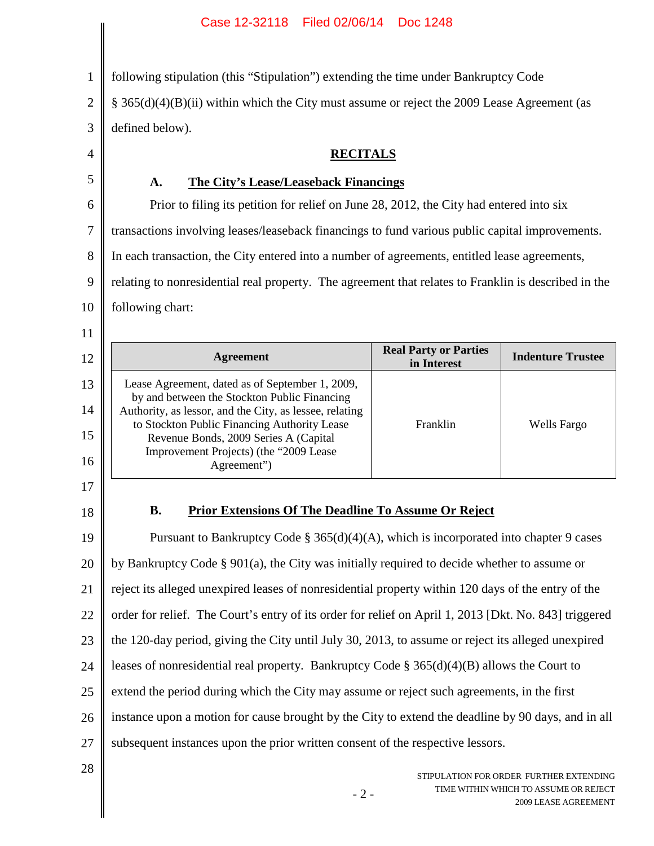1 2 3 4 5 6 7 8 9 10 11 12 13 14 15 16 17 18 19 20 21 22 23 24 25 26 27 28 following stipulation (this "Stipulation") extending the time under Bankruptcy Code § 365(d)(4)(B)(ii) within which the City must assume or reject the 2009 Lease Agreement (as defined below). **RECITALS A. The City's Lease/Leaseback Financings** Prior to filing its petition for relief on June 28, 2012, the City had entered into six transactions involving leases/leaseback financings to fund various public capital improvements. In each transaction, the City entered into a number of agreements, entitled lease agreements, relating to nonresidential real property. The agreement that relates to Franklin is described in the following chart: **Agreement Real Party or Parties**<br> **Real Party or Parties Indenture Trustee** Lease Agreement, dated as of September 1, 2009, by and between the Stockton Public Financing Authority, as lessor, and the City, as lessee, relating to Stockton Public Financing Authority Lease Revenue Bonds, 2009 Series A (Capital Improvement Projects) (the "2009 Lease Agreement") Franklin Wells Fargo **B. Prior Extensions Of The Deadline To Assume Or Reject** Pursuant to Bankruptcy Code  $\S 365(d)(4)(A)$ , which is incorporated into chapter 9 cases by Bankruptcy Code § 901(a), the City was initially required to decide whether to assume or reject its alleged unexpired leases of nonresidential property within 120 days of the entry of the order for relief. The Court's entry of its order for relief on April 1, 2013 [Dkt. No. 843] triggered the 120-day period, giving the City until July 30, 2013, to assume or reject its alleged unexpired leases of nonresidential real property. Bankruptcy Code § 365(d)(4)(B) allows the Court to extend the period during which the City may assume or reject such agreements, in the first instance upon a motion for cause brought by the City to extend the deadline by 90 days, and in all subsequent instances upon the prior written consent of the respective lessors.

 $-2-$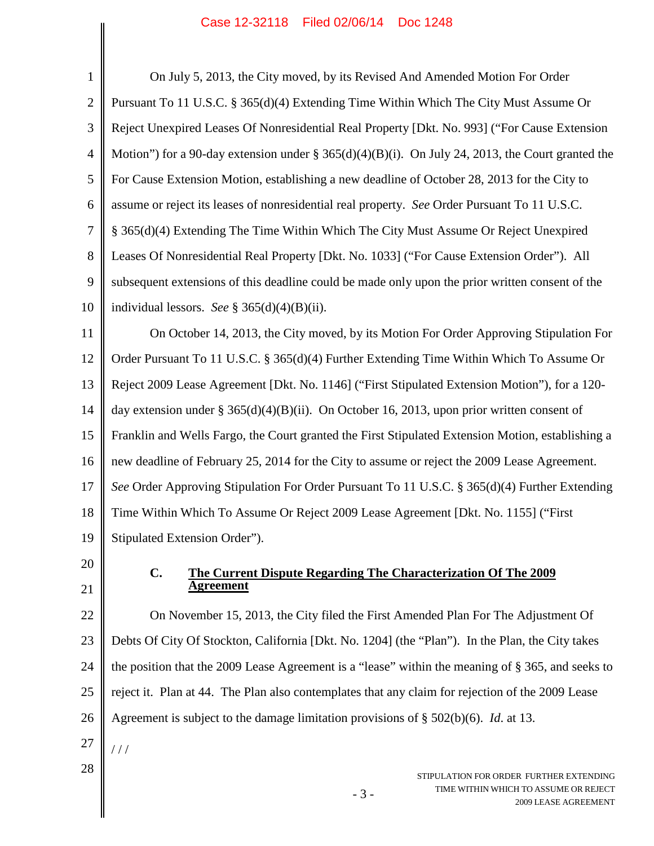| $\mathbf{1}$   | On July 5, 2013, the City moved, by its Revised And Amended Motion For Order                                      |
|----------------|-------------------------------------------------------------------------------------------------------------------|
| $\overline{2}$ | Pursuant To 11 U.S.C. § 365(d)(4) Extending Time Within Which The City Must Assume Or                             |
| 3              | Reject Unexpired Leases Of Nonresidential Real Property [Dkt. No. 993] ("For Cause Extension                      |
| $\overline{4}$ | Motion") for a 90-day extension under § 365(d)(4)(B)(i). On July 24, 2013, the Court granted the                  |
| 5              | For Cause Extension Motion, establishing a new deadline of October 28, 2013 for the City to                       |
| 6              | assume or reject its leases of nonresidential real property. See Order Pursuant To 11 U.S.C.                      |
| $\tau$         | § 365(d)(4) Extending The Time Within Which The City Must Assume Or Reject Unexpired                              |
| 8              | Leases Of Nonresidential Real Property [Dkt. No. 1033] ("For Cause Extension Order"). All                         |
| 9              | subsequent extensions of this deadline could be made only upon the prior written consent of the                   |
| 10             | individual lessors. See § 365(d)(4)(B)(ii).                                                                       |
| 11             | On October 14, 2013, the City moved, by its Motion For Order Approving Stipulation For                            |
| 12             | Order Pursuant To 11 U.S.C. § 365(d)(4) Further Extending Time Within Which To Assume Or                          |
| 13             | Reject 2009 Lease Agreement [Dkt. No. 1146] ("First Stipulated Extension Motion"), for a 120-                     |
| 14             | day extension under § 365(d)(4)(B)(ii). On October 16, 2013, upon prior written consent of                        |
| 15             | Franklin and Wells Fargo, the Court granted the First Stipulated Extension Motion, establishing a                 |
| 16             | new deadline of February 25, 2014 for the City to assume or reject the 2009 Lease Agreement.                      |
| 17             | See Order Approving Stipulation For Order Pursuant To 11 U.S.C. § 365(d)(4) Further Extending                     |
| 18             | Time Within Which To Assume Or Reject 2009 Lease Agreement [Dkt. No. 1155] ("First                                |
| 19             | Stipulated Extension Order").                                                                                     |
| 20             | $C_{\bullet}$<br>The Current Dispute Regarding The Characterization Of The 2009                                   |
| 21             | <u>Agreement</u>                                                                                                  |
| 22             | On November 15, 2013, the City filed the First Amended Plan For The Adjustment Of                                 |
| 23             | Debts Of City Of Stockton, California [Dkt. No. 1204] (the "Plan"). In the Plan, the City takes                   |
| 24             | the position that the 2009 Lease Agreement is a "lease" within the meaning of § 365, and seeks to                 |
| 25             | reject it. Plan at 44. The Plan also contemplates that any claim for rejection of the 2009 Lease                  |
| 26             | Agreement is subject to the damage limitation provisions of $\S$ 502(b)(6). <i>Id.</i> at 13.                     |
| 27             | 111                                                                                                               |
| 28             | STIPULATION FOR ORDER FURTHER EXTENDING<br>TIME WITHIN WHICH TO ASSUME OR REJECT<br>$-3-$<br>2009 LEASE AGREEMENT |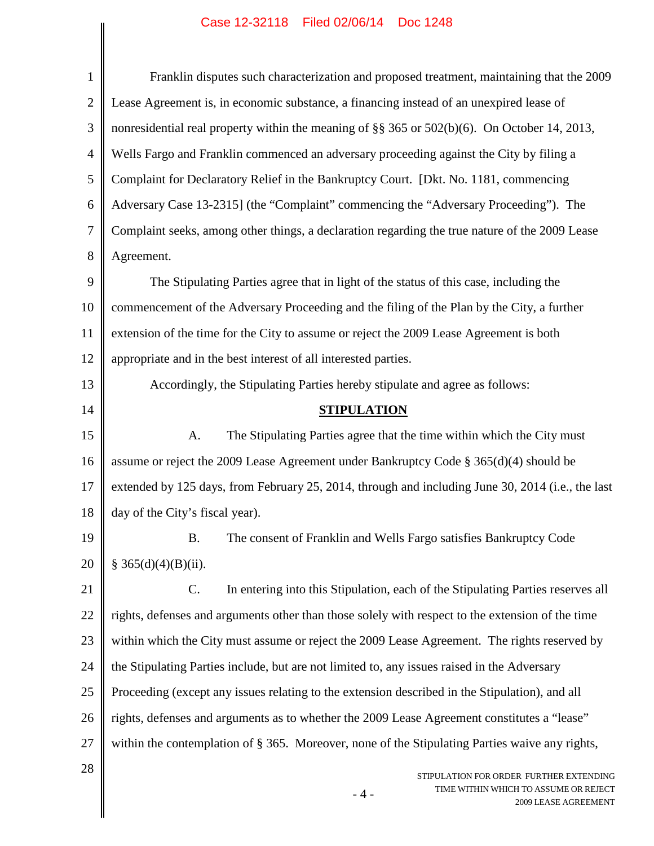| $\mathbf{1}$   | Franklin disputes such characterization and proposed treatment, maintaining that the 2009                         |
|----------------|-------------------------------------------------------------------------------------------------------------------|
| $\overline{2}$ | Lease Agreement is, in economic substance, a financing instead of an unexpired lease of                           |
| 3              | nonresidential real property within the meaning of §§ 365 or 502(b)(6). On October 14, 2013,                      |
| $\overline{4}$ | Wells Fargo and Franklin commenced an adversary proceeding against the City by filing a                           |
| 5              | Complaint for Declaratory Relief in the Bankruptcy Court. [Dkt. No. 1181, commencing                              |
| 6              | Adversary Case 13-2315] (the "Complaint" commencing the "Adversary Proceeding"). The                              |
| 7              | Complaint seeks, among other things, a declaration regarding the true nature of the 2009 Lease                    |
| 8              | Agreement.                                                                                                        |
| 9              | The Stipulating Parties agree that in light of the status of this case, including the                             |
| 10             | commencement of the Adversary Proceeding and the filing of the Plan by the City, a further                        |
| 11             | extension of the time for the City to assume or reject the 2009 Lease Agreement is both                           |
| 12             | appropriate and in the best interest of all interested parties.                                                   |
| 13             | Accordingly, the Stipulating Parties hereby stipulate and agree as follows:                                       |
| 14             | <b>STIPULATION</b>                                                                                                |
| 15             | The Stipulating Parties agree that the time within which the City must<br>A.                                      |
| 16             | assume or reject the 2009 Lease Agreement under Bankruptcy Code $\S 365(d)(4)$ should be                          |
| 17             | extended by 125 days, from February 25, 2014, through and including June 30, 2014 (i.e., the last                 |
| 18             | day of the City's fiscal year).                                                                                   |
| 19             | The consent of Franklin and Wells Fargo satisfies Bankruptcy Code<br><b>B.</b>                                    |
| 20             | § 365(d)(4)(B)(ii).                                                                                               |
| 21             | In entering into this Stipulation, each of the Stipulating Parties reserves all<br>$\mathbf{C}$ .                 |
| 22             | rights, defenses and arguments other than those solely with respect to the extension of the time                  |
| 23             | within which the City must assume or reject the 2009 Lease Agreement. The rights reserved by                      |
| 24             | the Stipulating Parties include, but are not limited to, any issues raised in the Adversary                       |
| 25             | Proceeding (except any issues relating to the extension described in the Stipulation), and all                    |
| 26             | rights, defenses and arguments as to whether the 2009 Lease Agreement constitutes a "lease"                       |
| 27             | within the contemplation of § 365. Moreover, none of the Stipulating Parties waive any rights,                    |
| 28             | STIPULATION FOR ORDER FURTHER EXTENDING<br>TIME WITHIN WHICH TO ASSUME OR REJECT<br>$-4-$<br>2009 LEASE AGREEMENT |